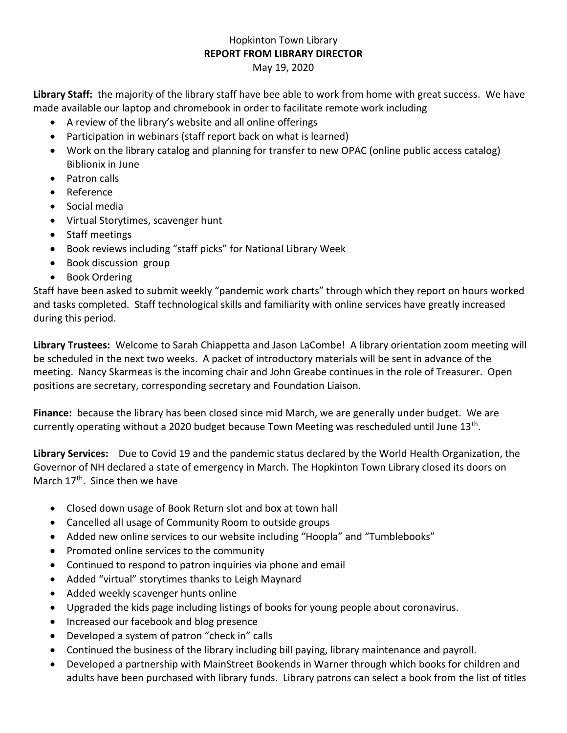## Hopkinton Town Library **REPORT FROM LIBRARY DIRECTOR**

May 19, 2020

**Library Staff:** the majority of the library staff have bee able to work from home with great success. We have made available our laptop and chromebook in order to facilitate remote work including

- A review of the library's website and all online offerings
- Participation in webinars (staff report back on what is learned)
- Work on the library catalog and planning for transfer to new OPAC (online public access catalog) Biblionix in June
- Patron calls
- Reference
- Social media
- Virtual Storytimes, scavenger hunt
- Staff meetings
- Book reviews including "staff picks" for National Library Week
- Book discussion group
- Book Ordering

Staff have been asked to submit weekly "pandemic work charts" through which they report on hours worked and tasks completed. Staff technological skills and familiarity with online services have greatly increased during this period.

**Library Trustees:** Welcome to Sarah Chiappetta and Jason LaCombe! A library orientation zoom meeting will be scheduled in the next two weeks. A packet of introductory materials will be sent in advance of the meeting. Nancy Skarmeas is the incoming chair and John Greabe continues in the role of Treasurer. Open positions are secretary, corresponding secretary and Foundation Liaison.

**Finance:** because the library has been closed since mid March, we are generally under budget. We are currently operating without a 2020 budget because Town Meeting was rescheduled until June 13<sup>th</sup>.

**Library Services:** Due to Covid 19 and the pandemic status declared by the World Health Organization, the Governor of NH declared a state of emergency in March. The Hopkinton Town Library closed its doors on March 17<sup>th</sup>. Since then we have

- Closed down usage of Book Return slot and box at town hall
- Cancelled all usage of Community Room to outside groups
- Added new online services to our website including "Hoopla" and "Tumblebooks"
- Promoted online services to the community
- Continued to respond to patron inquiries via phone and email
- Added "virtual" storytimes thanks to Leigh Maynard
- Added weekly scavenger hunts online
- Upgraded the kids page including listings of books for young people about coronavirus.
- Increased our facebook and blog presence
- Developed a system of patron "check in" calls
- Continued the business of the library including bill paying, library maintenance and payroll.
- Developed a partnership with MainStreet Bookends in Warner through which books for children and adults have been purchased with library funds. Library patrons can select a book from the list of titles